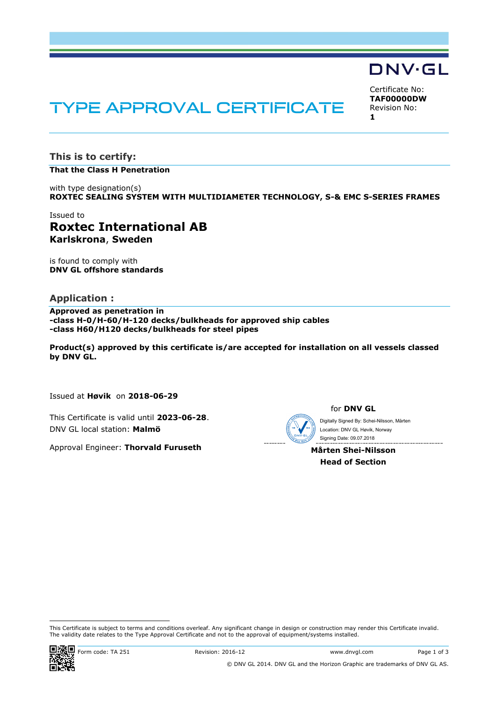# **TYPE APPROVAL CERTIFICATE**

Certificate No: **TAF00000DW** Revision No: **1**

**DNV·GL** 

**This is to certify:**

# **That the Class H Penetration**

with type designation(s) **ROXTEC SEALING SYSTEM WITH MULTIDIAMETER TECHNOLOGY, S-& EMC S-SERIES FRAMES**

# Issued to **Roxtec International AB Karlskrona**, **Sweden**

is found to comply with **DNV GL offshore standards**

# **Application :**

**Approved as penetration in -class H-0/H-60/H-120 decks/bulkheads for approved ship cables -class H60/H120 decks/bulkheads for steel pipes**

**Product(s) approved by this certificate is/are accepted for installation on all vessels classed by DNV GL.**

Issued at **Høvik** on **2018-06-29**

This Certificate is valid until **2023-06-28**. DNV GL local station: **Malmö**

Approval Engineer: **Thorvald Furuseth**

for **DNV GL**

 Signing Date: 09.07.2018 Digitally Signed By: Schei-Nilsson, Mårten Location: DNV GL Høvik, Norway

**Mårten Shei-Nilsson Head of Section**

 This Certificate is subject to terms and conditions overleaf. Any significant change in design or construction may render this Certificate invalid. The validity date relates to the Type Approval Certificate and not to the approval of equipment/systems installed.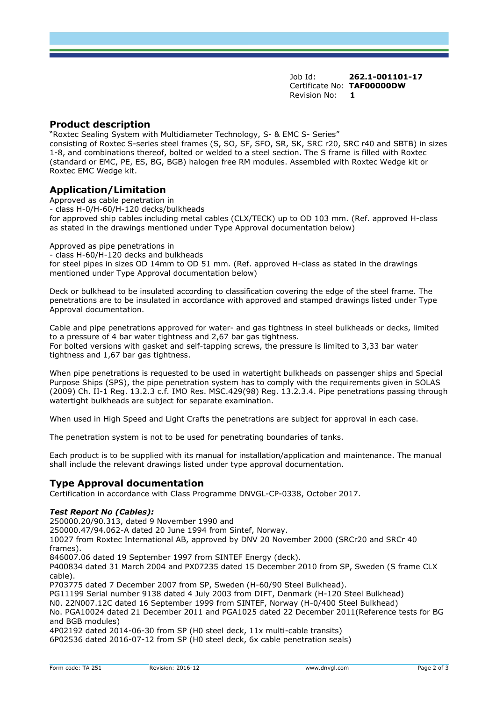Job Id: **262.1-001101-17** Certificate No: **TAF00000DW** Revision No: **1**

## **Product description**

"Roxtec Sealing System with Multidiameter Technology, S- & EMC S- Series"

consisting of Roxtec S-series steel frames (S, SO, SF, SFO, SR, SK, SRC r20, SRC r40 and SBTB) in sizes 1-8, and combinations thereof, bolted or welded to a steel section. The S frame is filled with Roxtec (standard or EMC, PE, ES, BG, BGB) halogen free RM modules. Assembled with Roxtec Wedge kit or Roxtec EMC Wedge kit.

# **Application/Limitation**

Approved as cable penetration in - class H-0/H-60/H-120 decks/bulkheads for approved ship cables including metal cables (CLX/TECK) up to OD 103 mm. (Ref. approved H-class as stated in the drawings mentioned under Type Approval documentation below)

Approved as pipe penetrations in

- class H-60/H-120 decks and bulkheads

for steel pipes in sizes OD 14mm to OD 51 mm. (Ref. approved H-class as stated in the drawings mentioned under Type Approval documentation below)

Deck or bulkhead to be insulated according to classification covering the edge of the steel frame. The penetrations are to be insulated in accordance with approved and stamped drawings listed under Type Approval documentation.

Cable and pipe penetrations approved for water- and gas tightness in steel bulkheads or decks, limited to a pressure of 4 bar water tightness and 2,67 bar gas tightness. For bolted versions with gasket and self-tapping screws, the pressure is limited to 3,33 bar water tightness and 1,67 bar gas tightness.

When pipe penetrations is requested to be used in watertight bulkheads on passenger ships and Special Purpose Ships (SPS), the pipe penetration system has to comply with the requirements given in SOLAS (2009) Ch. II-1 Reg. 13.2.3 c.f. IMO Res. MSC.429(98) Reg. 13.2.3.4. Pipe penetrations passing through watertight bulkheads are subject for separate examination.

When used in High Speed and Light Crafts the penetrations are subject for approval in each case.

The penetration system is not to be used for penetrating boundaries of tanks.

Each product is to be supplied with its manual for installation/application and maintenance. The manual shall include the relevant drawings listed under type approval documentation.

## **Type Approval documentation**

Certification in accordance with Class Programme DNVGL-CP-0338, October 2017.

#### *Test Report No (Cables):*

250000.20/90.313, dated 9 November 1990 and 250000.47/94.062-A dated 20 June 1994 from Sintef, Norway. 10027 from Roxtec International AB, approved by DNV 20 November 2000 (SRCr20 and SRCr 40 frames). 846007.06 dated 19 September 1997 from SINTEF Energy (deck). P400834 dated 31 March 2004 and PX07235 dated 15 December 2010 from SP, Sweden (S frame CLX cable). P703775 dated 7 December 2007 from SP, Sweden (H-60/90 Steel Bulkhead). PG11199 Serial number 9138 dated 4 July 2003 from DIFT, Denmark (H-120 Steel Bulkhead) N0. 22N007.12C dated 16 September 1999 from SINTEF, Norway (H-0/400 Steel Bulkhead) No. PGA10024 dated 21 December 2011 and PGA1025 dated 22 December 2011(Reference tests for BG and BGB modules) 4P02192 dated 2014-06-30 from SP (H0 steel deck, 11x multi-cable transits) 6P02536 dated 2016-07-12 from SP (H0 steel deck, 6x cable penetration seals)